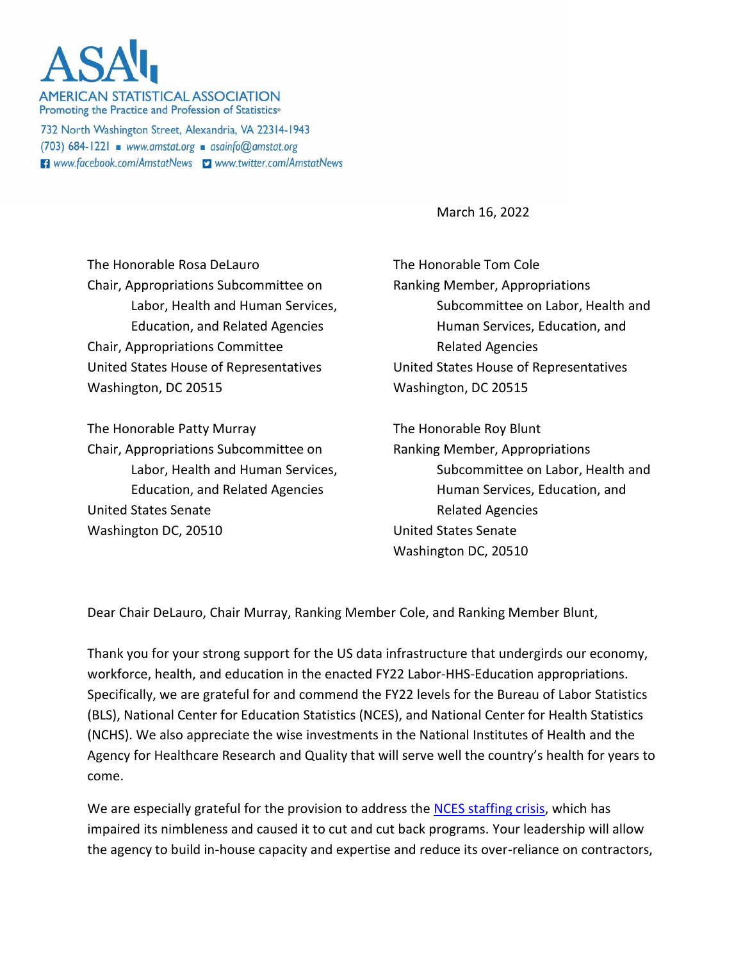**AMERICAN STATISTICAL ASSOCIATION** Promoting the Practice and Profession of Statistics<sup>®</sup>

732 North Washington Street, Alexandria, VA 22314-1943  $(703)$  684-1221 www.amstat.org asainfo@amstat.org **El** www.facebook.com/AmstatNews **y** www.twitter.com/AmstatNews

March 16, 2022

The Honorable Rosa DeLauro Chair, Appropriations Subcommittee on Labor, Health and Human Services, Education, and Related Agencies Chair, Appropriations Committee United States House of Representatives Washington, DC 20515

The Honorable Patty Murray Chair, Appropriations Subcommittee on Labor, Health and Human Services, Education, and Related Agencies United States Senate Washington DC, 20510

The Honorable Tom Cole Ranking Member, Appropriations Subcommittee on Labor, Health and Human Services, Education, and Related Agencies United States House of Representatives Washington, DC 20515

The Honorable Roy Blunt Ranking Member, Appropriations Subcommittee on Labor, Health and Human Services, Education, and Related Agencies United States Senate Washington DC, 20510

Dear Chair DeLauro, Chair Murray, Ranking Member Cole, and Ranking Member Blunt,

Thank you for your strong support for the US data infrastructure that undergirds our economy, workforce, health, and education in the enacted FY22 Labor-HHS-Education appropriations. Specifically, we are grateful for and commend the FY22 levels for the Bureau of Labor Statistics (BLS), National Center for Education Statistics (NCES), and National Center for Health Statistics (NCHS). We also appreciate the wise investments in the National Institutes of Health and the Agency for Healthcare Research and Quality that will serve well the country's health for years to come.

We are especially grateful for the provision to address the [NCES staffing crisis,](https://magazine.amstat.org/blog/2021/09/01/nces/) which has impaired its nimbleness and caused it to cut and cut back programs. Your leadership will allow the agency to build in-house capacity and expertise and reduce its over-reliance on contractors,